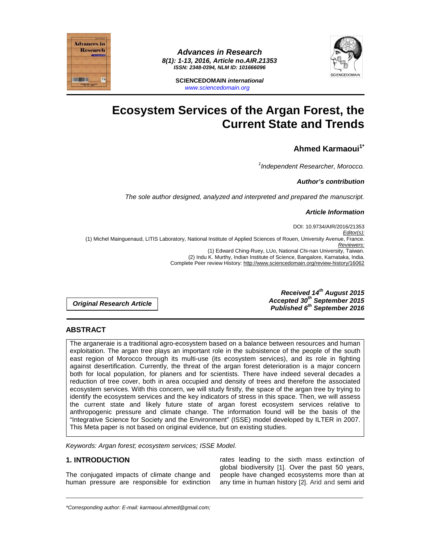

**Advances in Research 8(1): 1-13, 2016, Article no.AIR.21353 ISSN: 2348-0394, NLM ID: 101666096** 



**SCIENCEDOMAIN international**  www.sciencedomain.org

# **Ecosystem Services of the Argan Forest, the Current State and Trends**

# **Ahmed Karmaoui1\***

1 Independent Researcher, Morocco.

**Author's contribution** 

The sole author designed, analyzed and interpreted and prepared the manuscript.

### **Article Information**

DOI: 10.9734/AIR/2016/21353 Editor(s): (1) Michel Mainguenaud, LITIS Laboratory, National Institute of Applied Sciences of Rouen, University Avenue, France. Reviewers: (1) Edward Ching-Ruey, LUo, National Chi-nan University, Taiwan. (2) Indu K. Murthy, Indian Institute of Science, Bangalore, Karnataka, India. Complete Peer review History: http://www.sciencedomain.org/review-history/16062

**Original Research Article** 

**Received 14th August 2015 Accepted 30th September 2015 Published 6th September 2016**

# **ABSTRACT**

The arganeraie is a traditional agro-ecosystem based on a balance between resources and human exploitation. The argan tree plays an important role in the subsistence of the people of the south east region of Morocco through its multi-use (its ecosystem services), and its role in fighting against desertification. Currently, the threat of the argan forest deterioration is a major concern both for local population, for planers and for scientists. There have indeed several decades a reduction of tree cover, both in area occupied and density of trees and therefore the associated ecosystem services. With this concern, we will study firstly, the space of the argan tree by trying to identify the ecosystem services and the key indicators of stress in this space. Then, we will assess the current state and likely future state of argan forest ecosystem services relative to anthropogenic pressure and climate change. The information found will be the basis of the "Integrative Science for Society and the Environment" (ISSE) model developed by ILTER in 2007. This Meta paper is not based on original evidence, but on existing studies.

\_\_\_\_\_\_\_\_\_\_\_\_\_\_\_\_\_\_\_\_\_\_\_\_\_\_\_\_\_\_\_\_\_\_\_\_\_\_\_\_\_\_\_\_\_\_\_\_\_\_\_\_\_\_\_\_\_\_\_\_\_\_\_\_\_\_\_\_\_\_\_\_\_\_\_\_\_\_\_\_\_\_\_\_\_\_\_\_\_\_\_\_\_\_\_\_\_\_\_\_\_

Keywords: Argan forest; ecosystem services; ISSE Model.

# **1. INTRODUCTION**

The conjugated impacts of climate change and human pressure are responsible for extinction

rates leading to the sixth mass extinction of global biodiversity [1]. Over the past 50 years, people have changed ecosystems more than at any time in human history [2]. Arid and semi arid

\*Corresponding author: E-mail: karmaoui.ahmed@gmail.com;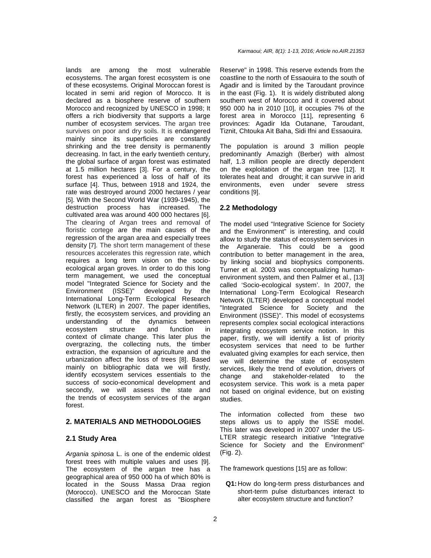lands are among the most vulnerable ecosystems. The argan forest ecosystem is one of these ecosystems. Original Moroccan forest is located in semi arid region of Morocco. It is declared as a biosphere reserve of southern Morocco and recognized by UNESCO in 1998; It offers a rich biodiversity that supports a large number of ecosystem services. The argan tree survives on poor and dry soils. It is endangered mainly since its superficies are constantly shrinking and the tree density is permanently decreasing. In fact, in the early twentieth century, the global surface of argan forest was estimated at 1.5 million hectares [3]. For a century, the forest has experienced a loss of half of its surface [4]. Thus, between 1918 and 1924, the rate was destroyed around 2000 hectares / year [5]. With the Second World War (1939-1945), the destruction process has increased. The cultivated area was around 400 000 hectares [6]. The clearing of Argan trees and removal of floristic cortege are the main causes of the regression of the argan area and especially trees density [7]. The short term management of these resources accelerates this regression rate, which requires a long term vision on the socioecological argan groves. In order to do this long term management, we used the conceptual model "Integrated Science for Society and the Environment (ISSE)" developed by the International Long-Term Ecological Research Network (ILTER) in 2007. The paper identifies, firstly, the ecosystem services, and providing an understanding of the dynamics between ecosystem structure and function in context of climate change. This later plus the overgrazing, the collecting nuts, the timber extraction, the expansion of agriculture and the urbanization affect the loss of trees [8]. Based mainly on bibliographic data we will firstly, identify ecosystem services essentials to the success of socio-economical development and secondly, we will assess the state and the trends of ecosystem services of the argan forest.

### **2. MATERIALS AND METHODOLOGIES**

### **2.1 Study Area**

Argania spinosa L. is one of the endemic oldest forest trees with multiple values and uses [9]. The ecosystem of the argan tree has a geographical area of 950 000 ha of which 80% is located in the Souss Massa Draa region (Morocco). UNESCO and the Moroccan State classified the argan forest as "Biosphere Reserve" in 1998. This reserve extends from the coastline to the north of Essaouira to the south of Agadir and is limited by the Taroudant province in the east (Fig. 1). It is widely distributed along southern west of Morocco and it covered about 950 000 ha in 2010 [10], it occupies 7% of the forest area in Morocco [11], representing 6 provinces: Agadir Ida Outanane, Taroudant, Tiznit, Chtouka Aït Baha, Sidi Ifni and Essaouira.

The population is around 3 million people predominantly Amazigh (Berber) with almost half, 1.3 million people are directly dependent on the exploitation of the argan tree [12]. It tolerates heat and drought; it can survive in arid environments, even under severe stress conditions [9].

# **2.2 Methodology**

The model used "Integrative Science for Society and the Environment" is interesting, and could allow to study the status of ecosystem services in the Arganeraie. This could be a good contribution to better management in the area, by linking social and biophysics components. Turner et al. 2003 was conceptualizing humanenvironment system, and then Palmer et al., [13] called 'Socio-ecological system'. In 2007, the International Long-Term Ecological Research Network (ILTER) developed a conceptual model "Integrated Science for Society and the Environment (ISSE)". This model of ecosystems represents complex social ecological interactions integrating ecosystem service notion. In this paper, firstly, we will identify a list of priority ecosystem services that need to be further evaluated giving examples for each service, then we will determine the state of ecosystem services, likely the trend of evolution, drivers of change and stakeholder-related to the ecosystem service. This work is a meta paper not based on original evidence, but on existing studies.

The information collected from these two steps allows us to apply the ISSE model. This later was developed in 2007 under the US-LTER strategic research initiative "Integrative Science for Society and the Environment" (Fig. 2).

The framework questions [15] are as follow:

**Q1:** How do long-term press disturbances and short-term pulse disturbances interact to alter ecosystem structure and function?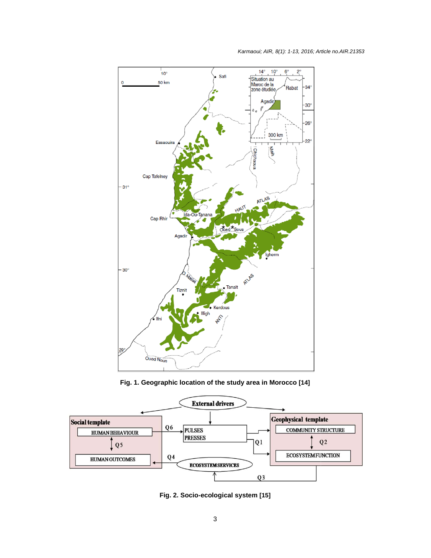

**Fig. 1. Geographic location of the study area in Morocco [14]** 



**Fig. . 2. Socio-ecological system [15]**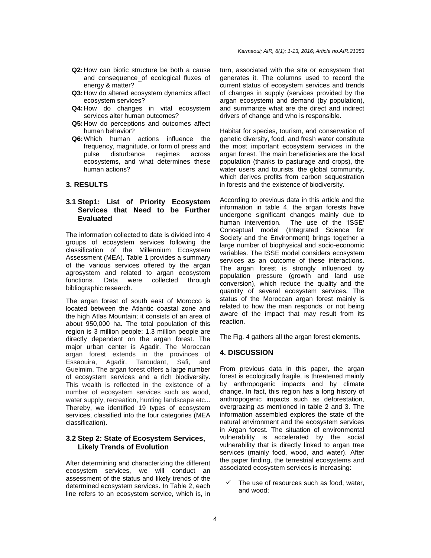- **Q2:** How can biotic structure be both a cause and consequence\_of ecological fluxes of energy & matter?
- **Q3:** How do altered ecosystem dynamics affect ecosystem services?
- **Q4:** How do changes in vital ecosystem services alter human outcomes?
- **Q5:** How do perceptions and outcomes affect human behavior?
- **Q6:** Which human actions influence the frequency, magnitude, or form of press and pulse disturbance regimes across ecosystems, and what determines these human actions?

# **3. RESULTS**

# **3.1 Step1: List of Priority Ecosystem Services that Need to be Further Evaluated**

The information collected to date is divided into 4 groups of ecosystem services following the classification of the Millennium Ecosystem Assessment (MEA). Table 1 provides a summary of the various services offered by the argan agrosystem and related to argan ecosystem functions. Data were collected through bibliographic research.

The argan forest of south east of Morocco is located between the Atlantic coastal zone and the high Atlas Mountain; it consists of an area of about 950,000 ha. The total population of this region is 3 million people; 1.3 million people are directly dependent on the argan forest. The major urban center is Agadir. The Moroccan argan forest extends in the provinces of Essaouira, Agadir, Taroudant, Safi, and Guelmim. The argan forest offers a large number of ecosystem services and a rich biodiversity. This wealth is reflected in the existence of a number of ecosystem services such as wood, water supply, recreation, hunting landscape etc... Thereby, we identified 19 types of ecosystem services, classified into the four categories (MEA classification).

# **3.2 Step 2: State of Ecosystem Services, Likely Trends of Evolution**

After determining and characterizing the different ecosystem services, we will conduct an assessment of the status and likely trends of the determined ecosystem services. In Table 2, each line refers to an ecosystem service, which is, in turn, associated with the site or ecosystem that generates it. The columns used to record the current status of ecosystem services and trends of changes in supply (services provided by the argan ecosystem) and demand (by population), and summarize what are the direct and indirect drivers of change and who is responsible.

Habitat for species, tourism, and conservation of genetic diversity, food, and fresh water constitute the most important ecosystem services in the argan forest. The main beneficiaries are the local population (thanks to pasturage and crops), the water users and tourists, the global community, which derives profits from carbon sequestration in forests and the existence of biodiversity.

According to previous data in this article and the information in table 4, the argan forests have undergone significant changes mainly due to human intervention. The use of the 'ISSE' Conceptual model (Integrated Science for Society and the Environment) brings together a large number of biophysical and socio-economic variables. The ISSE model considers ecosystem services as an outcome of these interactions. The argan forest is strongly influenced by population pressure (growth and land use conversion), which reduce the quality and the quantity of several ecosystem services. The status of the Moroccan argan forest mainly is related to how the man responds, or not being aware of the impact that may result from its reaction.

The Fig. 4 gathers all the argan forest elements.

### **4. DISCUSSION**

From previous data in this paper, the argan forest is ecologically fragile, is threatened mainly by anthropogenic impacts and by climate change. In fact, this region has a long history of anthropogenic impacts such as deforestation, overgrazing as mentioned in table 2 and 3. The information assembled explores the state of the natural environment and the ecosystem services in Argan forest. The situation of environmental vulnerability is accelerated by the social vulnerability that is directly linked to argan tree services (mainly food, wood, and water). After the paper finding, the terrestrial ecosystems and associated ecosystem services is increasing:

 The use of resources such as food, water, and wood;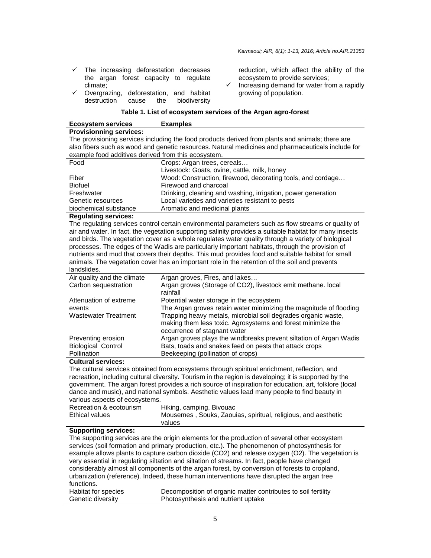- $\checkmark$  The increasing deforestation decreases the argan forest capacity to regulate climate;
- $\checkmark$  Overgrazing, deforestation, and habitat destruction cause the biodiversity

reduction, which affect the ability of the ecosystem to provide services;

 $\checkmark$  Increasing demand for water from a rapidly growing of population.

# **Table 1. List of ecosystem services of the Argan agro-forest**

| <b>Ecosystem services</b>                                                                             | <b>Examples</b>                                                                                         |  |  |  |
|-------------------------------------------------------------------------------------------------------|---------------------------------------------------------------------------------------------------------|--|--|--|
| <b>Provisionning services:</b>                                                                        |                                                                                                         |  |  |  |
|                                                                                                       | The provisioning services including the food products derived from plants and animals; there are        |  |  |  |
|                                                                                                       | also fibers such as wood and genetic resources. Natural medicines and pharmaceuticals include for       |  |  |  |
| example food additives derived from this ecosystem.                                                   |                                                                                                         |  |  |  |
| Food                                                                                                  | Crops: Argan trees, cereals                                                                             |  |  |  |
|                                                                                                       | Livestock: Goats, ovine, cattle, milk, honey                                                            |  |  |  |
| Fiber                                                                                                 | Wood: Construction, firewood, decorating tools, and cordage                                             |  |  |  |
| <b>Biofuel</b>                                                                                        | Firewood and charcoal                                                                                   |  |  |  |
| Freshwater                                                                                            | Drinking, cleaning and washing, irrigation, power generation                                            |  |  |  |
| Genetic resources                                                                                     | Local varieties and varieties resistant to pests                                                        |  |  |  |
| biochemical substance                                                                                 | Aromatic and medicinal plants                                                                           |  |  |  |
| <b>Regulating services:</b>                                                                           |                                                                                                         |  |  |  |
|                                                                                                       | The regulating services control certain environmental parameters such as flow streams or quality of     |  |  |  |
|                                                                                                       | air and water. In fact, the vegetation supporting salinity provides a suitable habitat for many insects |  |  |  |
|                                                                                                       | and birds. The vegetation cover as a whole regulates water quality through a variety of biological      |  |  |  |
|                                                                                                       | processes. The edges of the Wadis are particularly important habitats, through the provision of         |  |  |  |
|                                                                                                       | nutrients and mud that covers their depths. This mud provides food and suitable habitat for small       |  |  |  |
|                                                                                                       | animals. The vegetation cover has an important role in the retention of the soil and prevents           |  |  |  |
| landslides.                                                                                           |                                                                                                         |  |  |  |
| Air quality and the climate                                                                           | Argan groves, Fires, and lakes                                                                          |  |  |  |
| Carbon sequestration                                                                                  | Argan groves (Storage of CO2), livestock emit methane. local<br>rainfall                                |  |  |  |
| Attenuation of extreme                                                                                | Potential water storage in the ecosystem                                                                |  |  |  |
| events                                                                                                | The Argan groves retain water minimizing the magnitude of flooding                                      |  |  |  |
| <b>Wastewater Treatment</b>                                                                           | Trapping heavy metals, microbial soil degrades organic waste,                                           |  |  |  |
|                                                                                                       | making them less toxic. Agrosystems and forest minimize the                                             |  |  |  |
|                                                                                                       | occurrence of stagnant water                                                                            |  |  |  |
| Preventing erosion                                                                                    | Argan groves plays the windbreaks prevent siltation of Argan Wadis                                      |  |  |  |
| <b>Biological Control</b>                                                                             | Bats, toads and snakes feed on pests that attack crops                                                  |  |  |  |
| <b>Pollination</b>                                                                                    | Beekeeping (pollination of crops)                                                                       |  |  |  |
| <b>Cultural services:</b>                                                                             |                                                                                                         |  |  |  |
|                                                                                                       | The cultural services obtained from ecosystems through spiritual enrichment, reflection, and            |  |  |  |
| recreation, including cultural diversity. Tourism in the region is developing; it is supported by the |                                                                                                         |  |  |  |
|                                                                                                       | government. The argan forest provides a rich source of inspiration for education, art, folklore (local  |  |  |  |
|                                                                                                       | dance and music), and national symbols. Aesthetic values lead many people to find beauty in             |  |  |  |
| various aspects of ecosystems.<br>Recreation & ecotourism                                             |                                                                                                         |  |  |  |
| <b>Ethical values</b>                                                                                 | Hiking, camping, Bivouac<br>Mousemes, Souks, Zaouias, spiritual, religious, and aesthetic               |  |  |  |
|                                                                                                       |                                                                                                         |  |  |  |
|                                                                                                       | values                                                                                                  |  |  |  |
| <b>Supporting services:</b>                                                                           | The supporting services are the origin elements for the production of several other ecosystem           |  |  |  |
|                                                                                                       | services (soil formation and primary production, etc.). The phenomenon of photosynthesis for            |  |  |  |
|                                                                                                       | example allows plants to capture carbon dioxide (CO2) and release oxygen (O2). The vegetation is        |  |  |  |
|                                                                                                       | very essential in regulating siltation and siltation of streams. In fact, people have changed           |  |  |  |
|                                                                                                       |                                                                                                         |  |  |  |

| functions.          | <u>adisational animals and adisperience of the anglan reveal will adistate to reveal and and the anglo</u><br>urbanization (reference). Indeed, these human interventions have disrupted the argan tree |
|---------------------|---------------------------------------------------------------------------------------------------------------------------------------------------------------------------------------------------------|
| Habitat for species | Decomposition of organic matter contributes to soil fertility                                                                                                                                           |
| Genetic diversity   | Photosynthesis and nutrient uptake                                                                                                                                                                      |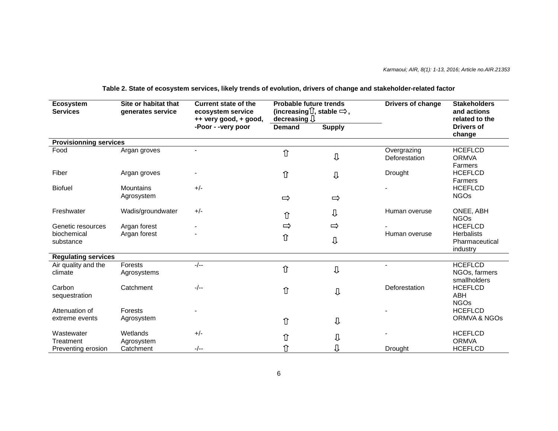| Ecosystem<br><b>Services</b>   | Site or habitat that<br>generates service | <b>Current state of the</b><br>ecosystem service<br>++ very good, + good, | <b>Probable future trends</b><br>(increasing $\hat{U}$ , stable $\Rightarrow$ ,<br>decreasing $\mathbb U$ |                         | <b>Drivers of change</b>     | <b>Stakeholders</b><br>and actions<br>related to the |  |
|--------------------------------|-------------------------------------------|---------------------------------------------------------------------------|-----------------------------------------------------------------------------------------------------------|-------------------------|------------------------------|------------------------------------------------------|--|
|                                |                                           | -Poor - -very poor                                                        | <b>Demand</b>                                                                                             | <b>Supply</b>           |                              | Drivers of<br>change                                 |  |
| <b>Provisionning services</b>  |                                           |                                                                           |                                                                                                           |                         |                              |                                                      |  |
| Food                           | Argan groves                              |                                                                           | $\hat{u}$                                                                                                 | IJ                      | Overgrazing<br>Deforestation | <b>HCEFLCD</b><br><b>ORMVA</b><br>Farmers            |  |
| Fiber                          | Argan groves                              |                                                                           | ⇧                                                                                                         | $\mathbb U$             | Drought                      | <b>HCEFLCD</b><br>Farmers                            |  |
| <b>Biofuel</b>                 | Mountains<br>Agrosystem                   | $+/-$                                                                     | $\Rightarrow$                                                                                             | $\Rightarrow$           |                              | <b>HCEFLCD</b><br><b>NGOs</b>                        |  |
| Freshwater                     | Wadis/groundwater                         | $+/-$                                                                     | ⇧                                                                                                         | ⇩                       | Human overuse                | ONEE, ABH<br><b>NGOs</b>                             |  |
| Genetic resources              | Argan forest                              |                                                                           | $\Rightarrow$                                                                                             | $\Rightarrow$           |                              | <b>HCEFLCD</b>                                       |  |
| biochemical<br>substance       | Argan forest                              |                                                                           | ⇧                                                                                                         | ⇩                       | Human overuse                | <b>Herbalists</b><br>Pharmaceutical<br>industry      |  |
| <b>Regulating services</b>     |                                           |                                                                           |                                                                                                           |                         |                              |                                                      |  |
| Air quality and the<br>climate | Forests<br>Agrosystems                    | $-/--$                                                                    | ⇧                                                                                                         | $\overline{\mathbf{U}}$ |                              | <b>HCEFLCD</b><br>NGOs, farmers<br>smallholders      |  |
| Carbon<br>sequestration        | Catchment                                 | $-/--$                                                                    | ⇧                                                                                                         | $\overline{\mathbb{Q}}$ | Deforestation                | <b>HCEFLCD</b><br><b>ABH</b>                         |  |
| Attenuation of                 | Forests                                   |                                                                           |                                                                                                           |                         |                              | <b>NGOs</b><br><b>HCEFLCD</b>                        |  |
| extreme events                 | Agrosystem                                |                                                                           | ⇧                                                                                                         | $\mathbb U$             |                              | ORMVA & NGOs                                         |  |
| Wastewater<br>Treatment        | Wetlands<br>Agrosystem                    | $+/-$                                                                     | ⇧                                                                                                         | ⇩                       |                              | <b>HCEFLCD</b><br><b>ORMVA</b>                       |  |
| Preventing erosion             | Catchment                                 | -/--                                                                      | ⇧                                                                                                         | ⇩                       | Drought                      | <b>HCEFLCD</b>                                       |  |

**Table 2. State of ecosystem services, likely trends of evolution, drivers of change and stakeholder-related factor**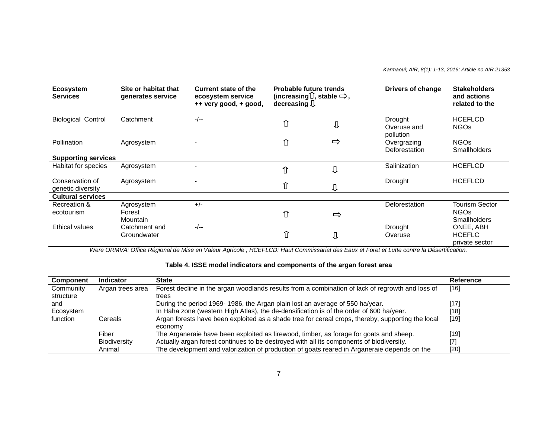| <b>Ecosystem</b><br><b>Services</b>  | Site or habitat that<br>generates service | Current state of the<br>ecosystem service<br>++ very good, + good, | <b>Probable future trends</b><br>(increasing $\hat{U}$ , stable $\Rightarrow$ ,<br>decreasing $\mathbb U$ |               | <b>Drivers of change</b>                  | <b>Stakeholders</b><br>and actions<br>related to the        |  |
|--------------------------------------|-------------------------------------------|--------------------------------------------------------------------|-----------------------------------------------------------------------------------------------------------|---------------|-------------------------------------------|-------------------------------------------------------------|--|
| <b>Biological Control</b>            | Catchment                                 | $-/--$                                                             | ⇧                                                                                                         | ⇩             | Drought<br>Overuse and                    | <b>HCEFLCD</b><br><b>NGOs</b>                               |  |
| Pollination                          | Agrosystem                                |                                                                    | ⇧                                                                                                         | $\Rightarrow$ | pollution<br>Overgrazing<br>Deforestation | <b>NGOs</b><br><b>Smallholders</b>                          |  |
| <b>Supporting services</b>           |                                           |                                                                    |                                                                                                           |               |                                           |                                                             |  |
| Habitat for species                  | Agrosystem                                |                                                                    | ⇧                                                                                                         | ⇩             | Salinization                              | <b>HCEFLCD</b>                                              |  |
| Conservation of<br>genetic diversity | Agrosystem                                |                                                                    | ⇧                                                                                                         | ⇩             | Drought                                   | <b>HCEFLCD</b>                                              |  |
| <b>Cultural services</b>             |                                           |                                                                    |                                                                                                           |               |                                           |                                                             |  |
| Recreation &<br>ecotourism           | Agrosystem<br>Forest<br>Mountain          | $+/-$                                                              | ⇧                                                                                                         | $\Rightarrow$ | Deforestation                             | <b>Tourism Sector</b><br><b>NGOs</b><br><b>Smallholders</b> |  |
| <b>Ethical values</b>                | Catchment and<br>Groundwater              | $-/--$                                                             | ⇧                                                                                                         | ⇩             | Drought<br>Overuse                        | ONEE, ABH<br><b>HCEFLC</b><br>private sector                |  |

Were ORMVA: Office Régional de Mise en Valeur Agricole ; HCEFLCD: Haut Commissariat des Eaux et Foret et Lutte contre la Désertification.

|  | Table 4. ISSE model indicators and components of the argan forest area |
|--|------------------------------------------------------------------------|
|  |                                                                        |

| <b>Component</b> | Indicator           | <b>State</b>                                                                                                 | Reference                                                                                                                                                                                                                                                                                                                                                                                                                                                                                              |
|------------------|---------------------|--------------------------------------------------------------------------------------------------------------|--------------------------------------------------------------------------------------------------------------------------------------------------------------------------------------------------------------------------------------------------------------------------------------------------------------------------------------------------------------------------------------------------------------------------------------------------------------------------------------------------------|
| Community        | Argan trees area    | Forest decline in the argan woodlands results from a combination of lack of regrowth and loss of             | $[16]$                                                                                                                                                                                                                                                                                                                                                                                                                                                                                                 |
| structure        |                     | trees                                                                                                        |                                                                                                                                                                                                                                                                                                                                                                                                                                                                                                        |
| and              |                     | During the period 1969-1986, the Argan plain lost an average of 550 ha/year.                                 | [17]                                                                                                                                                                                                                                                                                                                                                                                                                                                                                                   |
| Ecosystem        |                     | In Haha zone (western High Atlas), the de-densification is of the order of 600 ha/year.                      | [18]                                                                                                                                                                                                                                                                                                                                                                                                                                                                                                   |
| function         | Cereals             | Argan forests have been exploited as a shade tree for cereal crops, thereby, supporting the local<br>economy | $[19]$                                                                                                                                                                                                                                                                                                                                                                                                                                                                                                 |
|                  | Fiber               | The Arganeraie have been exploited as firewood, timber, as forage for goats and sheep.                       | [19]                                                                                                                                                                                                                                                                                                                                                                                                                                                                                                   |
|                  | <b>Biodiversity</b> | Actually argan forest continues to be destroyed with all its components of biodiversity.                     | $[7] \centering% \includegraphics[width=1\textwidth]{images/TransY.pdf} \caption{The first two different values of $d=3$ and $d=1$ (left) and $d=1$ (right) and $d=1$ (right) and $d=1$ (right) and $d=1$ (right) and $d=1$ (right) and $d=1$ (right) and $d=1$ (right) and $d=1$ (right) and $d=1$ (right) and $d=1$ (right) and $d=1$ (right) and $d=1$ (right) and $d=1$ (right) and $d=1$ (right) and $d=1$ (right) and $d=1$ (right) and $d=1$ (right) and $d=1$ (right) and $d=1$ (right) and $$ |
|                  | Animal              | The development and valorization of production of goats reared in Arganeraie depends on the                  | [20]                                                                                                                                                                                                                                                                                                                                                                                                                                                                                                   |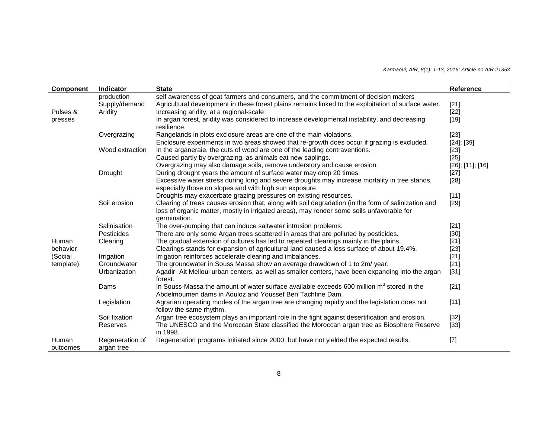| Component         | Indicator                     | <b>State</b>                                                                                                 | Reference           |
|-------------------|-------------------------------|--------------------------------------------------------------------------------------------------------------|---------------------|
|                   | production                    | self awareness of goat farmers and consumers, and the commitment of decision makers                          |                     |
|                   | Supply/demand                 | Agricultural development in these forest plains remains linked to the exploitation of surface water.         | $[21]$              |
| Pulses &          | Aridity                       | Increasing aridity, at a regional-scale                                                                      | $[22]$              |
| presses           |                               | In argan forest, aridity was considered to increase developmental instability, and decreasing                | $[19]$              |
|                   |                               | resilience.                                                                                                  |                     |
|                   | Overgrazing                   | Rangelands in plots exclosure areas are one of the main violations.                                          | $[23]$              |
|                   |                               | Enclosure experiments in two areas showed that re-growth does occur if grazing is excluded.                  | $[24]$ ; $[39]$     |
|                   | Wood extraction               | In the arganeraie, the cuts of wood are one of the leading contraventions.                                   | $[23]$              |
|                   |                               | Caused partly by overgrazing, as animals eat new saplings.                                                   | $[25]$              |
|                   |                               | Overgrazing may also damage soils, remove understory and cause erosion.                                      | $[26]$ ; [11]; [16] |
|                   | Drought                       | During drought years the amount of surface water may drop 20 times.                                          | $[27]$              |
|                   |                               | Excessive water stress during long and severe droughts may increase mortality in tree stands,                | $[28]$              |
|                   |                               | especially those on slopes and with high sun exposure.                                                       |                     |
|                   |                               | Droughts may exacerbate grazing pressures on existing resources.                                             | $[11]$              |
|                   | Soil erosion                  | Clearing of trees causes erosion that, along with soil degradation (in the form of salinization and          | $[29]$              |
|                   |                               | loss of organic matter, mostly in irrigated areas), may render some soils unfavorable for                    |                     |
|                   |                               | germination.                                                                                                 |                     |
|                   | Salinisation                  | The over-pumping that can induce saltwater intrusion problems.                                               | $[21]$              |
|                   | <b>Pesticides</b>             | There are only some Argan trees scattered in areas that are polluted by pesticides.                          | $[30]$              |
| Human             | Clearing                      | The gradual extension of cultures has led to repeated clearings mainly in the plains.                        | $[21]$              |
| behavior          |                               | Clearings stands for expansion of agricultural land caused a loss surface of about 19.4%.                    | $[23]$              |
| (Social           | Irrigation                    | Irrigation reinforces accelerate clearing and imbalances.                                                    | $[21]$              |
| template)         | Groundwater                   | The groundwater in Souss Massa show an average drawdown of 1 to 2m/ year.                                    | $[21]$              |
|                   | Urbanization                  | Agadir- Ait Melloul urban centers, as well as smaller centers, have been expanding into the argan<br>forest. | $[31]$              |
|                   | Dams                          | In Souss-Massa the amount of water surface available exceeds 600 million m <sup>3</sup> stored in the        | $[21]$              |
|                   |                               | Abdelmoumen dams in Aouloz and Youssef Ben Tachfine Dam.                                                     |                     |
|                   | Legislation                   | Agrarian operating modes of the argan tree are changing rapidly and the legislation does not                 | $[11]$              |
|                   |                               | follow the same rhythm.                                                                                      |                     |
|                   | Soil fixation                 | Argan tree ecosystem plays an important role in the fight against desertification and erosion.               | $[32]$              |
|                   | Reserves                      | The UNESCO and the Moroccan State classified the Moroccan argan tree as Biosphere Reserve<br>in 1998.        | $[33]$              |
| Human<br>outcomes | Regeneration of<br>argan tree | Regeneration programs initiated since 2000, but have not yielded the expected results.                       | $[7]$               |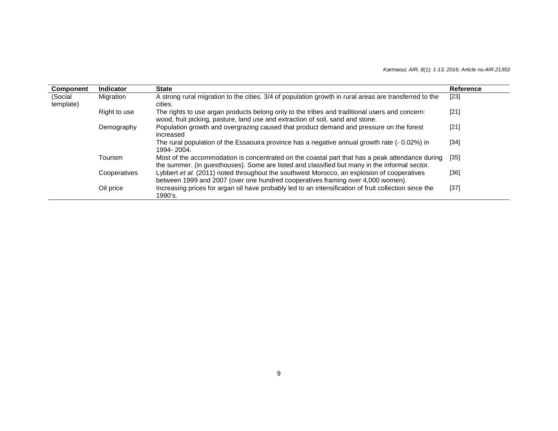| <b>Component</b>     | <b>Indicator</b> | <b>State</b>                                                                                                                                                                                     | Reference |
|----------------------|------------------|--------------------------------------------------------------------------------------------------------------------------------------------------------------------------------------------------|-----------|
| (Social<br>template) | Migration        | A strong rural migration to the cities. 3/4 of population growth in rural areas are transferred to the<br>cities.                                                                                | $[23]$    |
|                      | Right to use     | The rights to use argan products belong only to the tribes and traditional users and concern:<br>wood, fruit picking, pasture, land use and extraction of soil, sand and stone.                  | $[21]$    |
|                      | Demography       | Population growth and overgrazing caused that product demand and pressure on the forest<br>increased                                                                                             | $[21]$    |
|                      |                  | The rural population of the Essaouira province has a negative annual growth rate (-0.02%) in<br>1994-2004.                                                                                       | $[34]$    |
|                      | Tourism          | Most of the accommodation is concentrated on the coastal part that has a peak attendance during<br>the summer. (in guesthouses). Some are listed and classified but many in the informal sector. | $[35]$    |
|                      | Cooperatives     | Lybbert et al. (2011) noted throughout the southwest Morocco, an explosion of cooperatives<br>between 1999 and 2007 (over one hundred cooperatives framing over 4,000 women).                    | $[36]$    |
|                      | Oil price        | Increasing prices for argan oil have probably led to an intensification of fruit collection since the<br>1990's.                                                                                 | $[37]$    |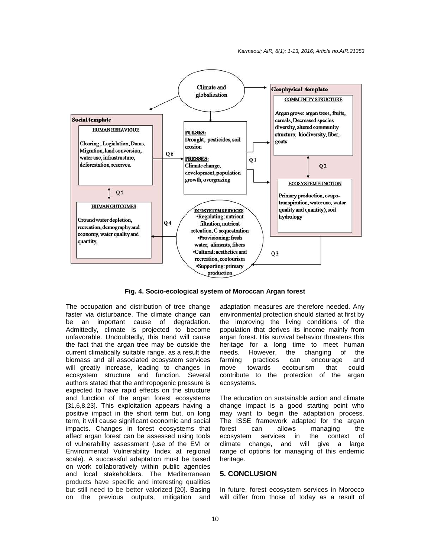

**Fig. 4. Socio-ecological system of Moroccan Argan forest** 

The occupation and distribution of tree change faster via disturbance. The climate change can be an important cause of degradation. Admittedly, climate is projected to become unfavorable. Undoubtedly, this trend will cause the fact that the argan tree may be outside the current climatically suitable range, as a result the biomass and all associated ecosystem services will greatly increase, leading to changes in ecosystem structure and function. Several authors stated that the anthropogenic pressure is expected to have rapid effects on the structure and function of the argan forest ecosystems [31,6,8,23]. This exploitation appears having a positive impact in the short term but, on long term, it will cause significant economic and social impacts. Changes in forest ecosystems that affect argan forest can be assessed using tools of vulnerability assessment (use of the EVI or Environmental Vulnerability Index at regional scale). A successful adaptation must be based on work collaboratively within public agencies and local stakeholders. The Mediterranean products have specific and interesting qualities but still need to be better valorized [20]. Basing on the previous outputs, mitigation and

adaptation measures are therefore needed. Any environmental protection should started at first by the improving the living conditions of the population that derives its income mainly from argan forest. His survival behavior threatens this heritage for a long time to meet human<br>needs. However, the changing of the needs. However, the changing of the farming practices can encourage and move towards ecotourism that could contribute to the protection of the argan ecosystems.

The education on sustainable action and climate change impact is a good starting point who may want to begin the adaptation process. The ISSE framework adapted for the argan forest can allows managing the ecosystem services in the context of climate change, and will give a large range of options for managing of this endemic heritage.

### **5. CONCLUSION**

In future, forest ecosystem services in Morocco will differ from those of today as a result of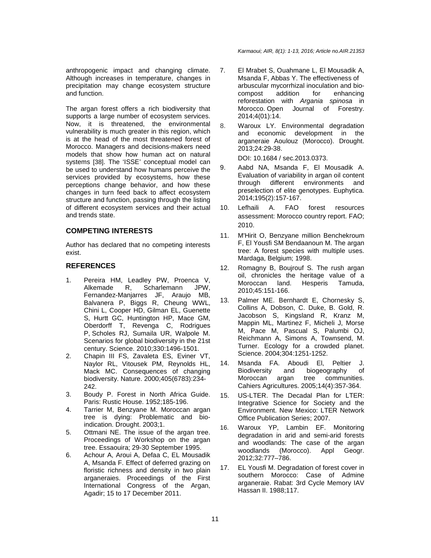anthropogenic impact and changing climate. Although increases in temperature, changes in precipitation may change ecosystem structure and function.

The argan forest offers a rich biodiversity that supports a large number of ecosystem services. Now, it is threatened, the environmental vulnerability is much greater in this region, which is at the head of the most threatened forest of Morocco. Managers and decisions-makers need models that show how human act on natural systems [38]. The 'ISSE' conceptual model can be used to understand how humans perceive the services provided by ecosystems, how these perceptions change behavior, and how these changes in turn feed back to affect ecosystem structure and function, passing through the listing of different ecosystem services and their actual and trends state.

# **COMPETING INTERESTS**

Author has declared that no competing interests exist.

# **REFERENCES**

- 1. Pereira HM, Leadley PW, Proenca V, Alkemade R, Scharlemann JPW, Fernandez-Manjarres JF, Araujo MB, Balvanera P, Biggs R, Cheung WWL, Chini L, Cooper HD, Gilman EL, Guenette S, Hurtt GC, Huntington HP, Mace GM, Oberdorff T, Revenga C, Rodrigues P, Scholes RJ, Sumaila UR, Walpole M. Scenarios for global biodiversity in the 21st century. Science. 2010;330:1496-1501.
- 2. Chapin III FS, Zavaleta ES, Eviner VT, Naylor RL, Vitousek PM, Reynolds HL, Mack MC. Consequences of changing biodiversity. Nature. 2000;405(6783):234- 242.
- 3. Boudy P. Forest in North Africa Guide. Paris: Rustic House. 1952;185-196.
- 4. Tarrier M, Benzyane M. Moroccan argan tree is dying: Problematic and bioindication. Drought. 2003;1.
- 5. Ottmani NE. The issue of the argan tree. Proceedings of Workshop on the argan tree. Essaouira; 29-30 September 1995.
- 6. Achour A, Aroui A, Defaa C, EL Mousadik A, Msanda F. Effect of deferred grazing on floristic richness and density in two plain arganeraies. Proceedings of the First International Congress of the Argan, Agadir; 15 to 17 December 2011.
- 7. El Mrabet S, Ouahmane L, El Mousadik A, Msanda F, Abbas Y. The effectiveness of arbuscular mycorrhizal inoculation and biocompost addition for enhancing reforestation with Argania spinosa in Morocco. Open Journal of Forestry. 2014;4(01):14.
- 8. Waroux LY. Environmental degradation and economic development in the arganeraie Aoulouz (Morocco). Drought. 2013;24:29-38.

DOI: 10.1684 / sec.2013.0373.

- 9. Aabd NA, Msanda F, El Mousadik A. Evaluation of variability in argan oil content through different environments and preselection of elite genotypes. Euphytica. 2014;195(2):157-167.
- 10. Lefhaili A. FAO forest resources assessment: Morocco country report. FAO; 2010.
- 11. M'Hirit O, Benzyane million Benchekroum F, El Yousfi SM Bendaanoun M. The argan tree: A forest species with multiple uses. Mardaga, Belgium; 1998.
- 12. Romagny B, Boujrouf S. The rush argan oil, chronicles the heritage value of a Hesperis Tamuda, 2010;45:151-166.
- 13. Palmer ME. Bernhardt E, Chornesky S, Collins A, Dobson, C. Duke, B. Gold, R. Jacobson S, Kingsland R, Kranz M, Mappin ML, Martinez F, Micheli J, Morse M, Pace M, Pascual S, Palumbi OJ, Reichmann A, Simons A, Townsend, M. Turner. Ecology for a crowded planet. Science. 2004;304:1251-1252.
- 14. Msanda FA. Aboudi El, Peltier J. Biodiversity and biogeography of Moroccan argan tree communities. Cahiers Agricultures. 2005;14(4):357-364.
- 15. US-LTER. The Decadal Plan for LTER: Integrative Science for Society and the Environment. New Mexico: LTER Network Office Publication Series; 2007.
- 16. Waroux YP, Lambin EF. Monitoring degradation in arid and semi-arid forests and woodlands: The case of the argan woodlands (Morocco). Appl Geogr. 2012;32:777–786.
- 17. EL Yousfi M. Degradation of forest cover in southern Morocco: Case of Admine arganeraie. Rabat: 3rd Cycle Memory IAV Hassan II. 1988;117.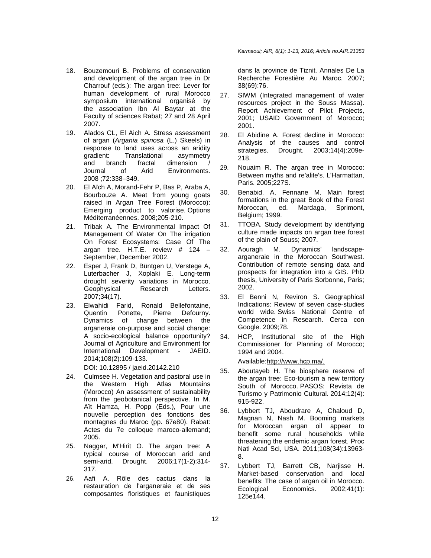- 18. Bouzemouri B. Problems of conservation and development of the argan tree in Dr Charrouf (eds.): The argan tree: Lever for human development of rural Morocco symposium international organisé by the association Ibn Al Baytar at the Faculty of sciences Rabat; 27 and 28 April 2007.
- 19. Alados CL, El Aich A. Stress assessment of argan (Argania spinosa (L.) Skeels) in response to land uses across an aridity gradient: Translational asymmetry and branch fractal dimension Journal of Arid Environments. 2008 ;72:338–349.
- 20. El Aïch A, Morand-Fehr P, Bas P, Araba A, Bourbouze A. Meat from young goats raised in Argan Tree Forest (Morocco): Emerging product to valorise. Options Méditerranéennes. 2008;205-210.
- 21. Tribak A. The Environmental Impact Of Management Of Water On The irrigation On Forest Ecosystems: Case Of The argan tree. H.T.E. review # 124 – September, December 2002.
- 22. Esper J, Frank D, Büntgen U, Verstege A, Luterbacher J, Xoplaki E. Long-term drought severity variations in Morocco. Geophysical Research Letters. 2007;34(17).
- 23. Elwahidi Farid, Ronald Bellefontaine, Quentin Ponette, Pierre Defourny. Dynamics of change between the arganeraie on-purpose and social change: A socio-ecological balance opportunity? Journal of Agriculture and Environment for International Development - JAEID. 2014;108(2):109-133.

DOI: 10.12895 / jaeid.20142.210

- 24. Culmsee H. Vegetation and pastoral use in the Western High Atlas Mountains (Morocco) An assessment of sustainability from the geobotanical perspective. In M. Aït Hamza, H. Popp (Eds.), Pour une nouvelle perception des fonctions des montagnes du Maroc (pp. 67e80). Rabat: Actes du 7e colloque maroco-allemand; 2005.
- 25. Naggar, M'Hirit O. The argan tree: A typical course of Moroccan arid and semi-arid. Drought. 2006;17(1-2):314- 317.
- 26. Aafi A. Rôle des cactus dans la restauration de l'arganeraie et de ses composantes floristiques et faunistiques

dans la province de Tiznit. Annales De La Recherche Forestière Au Maroc. 2007; 38(69):76.

- 27. SIWM (Integrated management of water resources project in the Souss Massa). Report Achievement of Pilot Projects, 2001; USAID Government of Morocco; 2001.
- 28. El Abidine A. Forest decline in Morocco: Analysis of the causes and control strategies. Drought. 2003;14(4):209e-218.
- 29. Nouaim R. The argan tree in Morocco: Between myths and re'alite's. L'Harmattan, Paris. 2005;227S.
- 30. Benabid. A, Fennane M. Main forest formations in the great Book of the Forest Moroccan, ed. Mardaga, Sprimont, Belgium; 1999.
- 31. TTOBA. Study development by identifying culture made impacts on argan tree forest of the plain of Souss; 2007.
- 32. Aouragh M. Dynamics' landscapearganeraie in the Moroccan Southwest. Contribution of remote sensing data and prospects for integration into a GIS. PhD thesis, University of Paris Sorbonne, Paris; 2002.
- 33. El Benni N, Reviron S. Geographical Indications: Review of seven case-studies world wide. Swiss National Centre of Competence in Research. Cerca con Google. 2009;78.
- 34. HCP, Institutional site of the High Commissioner for Planning of Morocco; 1994 and 2004.

Available:http://www.hcp.ma/.

- 35. Aboutayeb H. The biosphere reserve of the argan tree: Eco-tourism a new territory South of Morocco. PASOS: Revista de Turismo y Patrimonio Cultural. 2014;12(4): 915-922.
- 36. Lybbert TJ, Aboudrare A, Chaloud D, Magnan N, Nash M. Booming markets for Moroccan argan oil appear to benefit some rural households while threatening the endemic argan forest. Proc Natl Acad Sci, USA. 2011;108(34):13963- 8.
- 37. Lybbert TJ, Barrett CB, Narjisse H. Market-based conservation and local benefits: The case of argan oil in Morocco. Ecological Economics. 2002;41(1): 125e144.